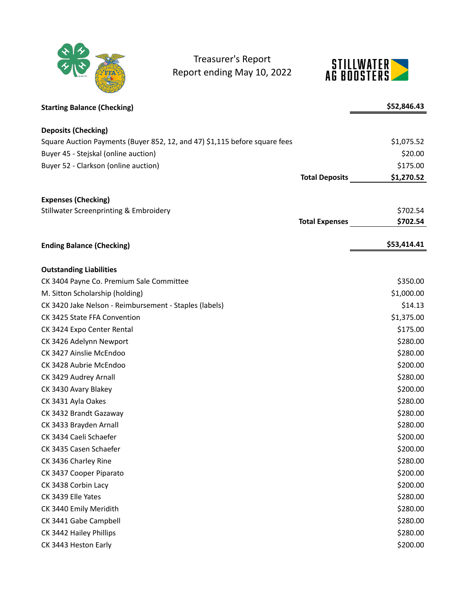

Treasurer's Report Report ending May 10, 2022



| <b>Starting Balance (Checking)</b>                                         |                       | \$52,846.43 |
|----------------------------------------------------------------------------|-----------------------|-------------|
| <b>Deposits (Checking)</b>                                                 |                       |             |
| Square Auction Payments (Buyer 852, 12, and 47) \$1,115 before square fees |                       | \$1,075.52  |
| Buyer 45 - Stejskal (online auction)                                       |                       | \$20.00     |
| Buyer 52 - Clarkson (online auction)                                       |                       | \$175.00    |
|                                                                            | <b>Total Deposits</b> | \$1,270.52  |
| <b>Expenses (Checking)</b>                                                 |                       |             |
| <b>Stillwater Screenprinting &amp; Embroidery</b>                          |                       | \$702.54    |
|                                                                            | <b>Total Expenses</b> | \$702.54    |
| <b>Ending Balance (Checking)</b>                                           |                       | \$53,414.41 |
|                                                                            |                       |             |
| <b>Outstanding Liabilities</b>                                             |                       |             |
| CK 3404 Payne Co. Premium Sale Committee                                   |                       | \$350.00    |
| M. Sitton Scholarship (holding)                                            |                       | \$1,000.00  |
| CK 3420 Jake Nelson - Reimbursement - Staples (labels)                     |                       | \$14.13     |
| CK 3425 State FFA Convention                                               |                       | \$1,375.00  |
| CK 3424 Expo Center Rental                                                 |                       | \$175.00    |
| CK 3426 Adelynn Newport                                                    |                       | \$280.00    |
| CK 3427 Ainslie McEndoo                                                    |                       | \$280.00    |
| CK 3428 Aubrie McEndoo                                                     |                       | \$200.00    |
| CK 3429 Audrey Arnall                                                      |                       | \$280.00    |
| CK 3430 Avary Blakey                                                       |                       | \$200.00    |
| CK 3431 Ayla Oakes                                                         |                       | \$280.00    |
| CK 3432 Brandt Gazaway                                                     |                       | \$280.00    |
| CK 3433 Brayden Arnall                                                     |                       | \$280.00    |
| CK 3434 Caeli Schaefer                                                     |                       | \$200.00    |
| CK 3435 Casen Schaefer                                                     |                       | \$200.00    |
| CK 3436 Charley Rine                                                       |                       | \$280.00    |
| CK 3437 Cooper Piparato                                                    |                       | \$200.00    |
| CK 3438 Corbin Lacy                                                        |                       | \$200.00    |
| CK 3439 Elle Yates                                                         |                       | \$280.00    |
| CK 3440 Emily Meridith                                                     |                       | \$280.00    |
| CK 3441 Gabe Campbell                                                      |                       | \$280.00    |
| CK 3442 Hailey Phillips                                                    |                       | \$280.00    |
| CK 3443 Heston Early                                                       |                       | \$200.00    |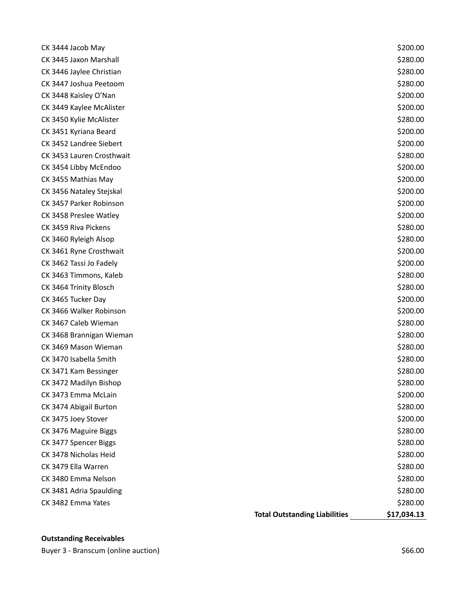| CK 3444 Jacob May         |                                      | \$200.00    |
|---------------------------|--------------------------------------|-------------|
| CK 3445 Jaxon Marshall    |                                      | \$280.00    |
| CK 3446 Jaylee Christian  |                                      | \$280.00    |
| CK 3447 Joshua Peetoom    |                                      | \$280.00    |
| CK 3448 Kaisley O'Nan     |                                      | \$200.00    |
| CK 3449 Kaylee McAlister  |                                      | \$200.00    |
| CK 3450 Kylie McAlister   |                                      | \$280.00    |
| CK 3451 Kyriana Beard     |                                      | \$200.00    |
| CK 3452 Landree Siebert   |                                      | \$200.00    |
| CK 3453 Lauren Crosthwait |                                      | \$280.00    |
| CK 3454 Libby McEndoo     |                                      | \$200.00    |
| CK 3455 Mathias May       |                                      | \$200.00    |
| CK 3456 Nataley Stejskal  |                                      | \$200.00    |
| CK 3457 Parker Robinson   |                                      | \$200.00    |
| CK 3458 Preslee Watley    |                                      | \$200.00    |
| CK 3459 Riva Pickens      |                                      | \$280.00    |
| CK 3460 Ryleigh Alsop     |                                      | \$280.00    |
| CK 3461 Ryne Crosthwait   |                                      | \$200.00    |
| CK 3462 Tassi Jo Fadely   |                                      | \$200.00    |
| CK 3463 Timmons, Kaleb    |                                      | \$280.00    |
| CK 3464 Trinity Blosch    |                                      | \$280.00    |
| CK 3465 Tucker Day        |                                      | \$200.00    |
| CK 3466 Walker Robinson   |                                      | \$200.00    |
| CK 3467 Caleb Wieman      |                                      | \$280.00    |
| CK 3468 Brannigan Wieman  |                                      | \$280.00    |
| CK 3469 Mason Wieman      |                                      | \$280.00    |
| CK 3470 Isabella Smith    |                                      | \$280.00    |
| CK 3471 Kam Bessinger     |                                      | \$280.00    |
| CK 3472 Madilyn Bishop    |                                      | \$280.00    |
| CK 3473 Emma McLain       |                                      | \$200.00    |
| CK 3474 Abigail Burton    |                                      | \$280.00    |
| CK 3475 Joey Stover       |                                      | \$200.00    |
| CK 3476 Maguire Biggs     |                                      | \$280.00    |
| CK 3477 Spencer Biggs     |                                      | \$280.00    |
| CK 3478 Nicholas Heid     |                                      | \$280.00    |
| CK 3479 Ella Warren       |                                      | \$280.00    |
| CK 3480 Emma Nelson       |                                      | \$280.00    |
| CK 3481 Adria Spaulding   |                                      | \$280.00    |
| CK 3482 Emma Yates        |                                      | \$280.00    |
|                           | <b>Total Outstanding Liabilities</b> | \$17,034.13 |

## **Outstanding Receivables**

Buyer 3 - Branscum (online auction)  $$66.00$